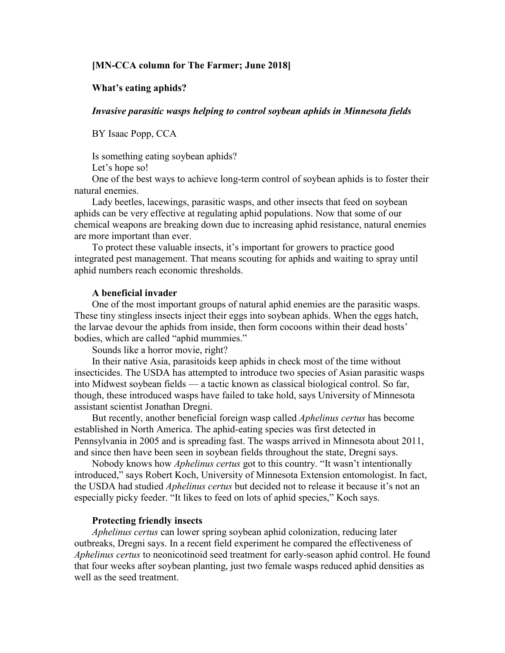# **[MN-CCA column for The Farmer; June 2018]**

## **What's eating aphids?**

# *Invasive parasitic wasps helping to control soybean aphids in Minnesota fields*

BY Isaac Popp, CCA

Is something eating soybean aphids?

Let's hope so!

One of the best ways to achieve long-term control of soybean aphids is to foster their natural enemies.

Lady beetles, lacewings, parasitic wasps, and other insects that feed on soybean aphids can be very effective at regulating aphid populations. Now that some of our chemical weapons are breaking down due to increasing aphid resistance, natural enemies are more important than ever.

To protect these valuable insects, it's important for growers to practice good integrated pest management. That means scouting for aphids and waiting to spray until aphid numbers reach economic thresholds.

## **A beneficial invader**

One of the most important groups of natural aphid enemies are the parasitic wasps. These tiny stingless insects inject their eggs into soybean aphids. When the eggs hatch, the larvae devour the aphids from inside, then form cocoons within their dead hosts' bodies, which are called "aphid mummies."

Sounds like a horror movie, right?

In their native Asia, parasitoids keep aphids in check most of the time without insecticides. The USDA has attempted to introduce two species of Asian parasitic wasps into Midwest soybean fields — a tactic known as classical biological control. So far, though, these introduced wasps have failed to take hold, says University of Minnesota assistant scientist Jonathan Dregni.

But recently, another beneficial foreign wasp called *Aphelinus certus* has become established in North America. The aphid-eating species was first detected in Pennsylvania in 2005 and is spreading fast. The wasps arrived in Minnesota about 2011, and since then have been seen in soybean fields throughout the state, Dregni says.

Nobody knows how *Aphelinus certus* got to this country. "It wasn't intentionally introduced," says Robert Koch, University of Minnesota Extension entomologist. In fact, the USDA had studied *Aphelinus certus* but decided not to release it because it's not an especially picky feeder. "It likes to feed on lots of aphid species," Koch says.

#### **Protecting friendly insects**

*Aphelinus certus* can lower spring soybean aphid colonization, reducing later outbreaks, Dregni says. In a recent field experiment he compared the effectiveness of *Aphelinus certus* to neonicotinoid seed treatment for early-season aphid control. He found that four weeks after soybean planting, just two female wasps reduced aphid densities as well as the seed treatment.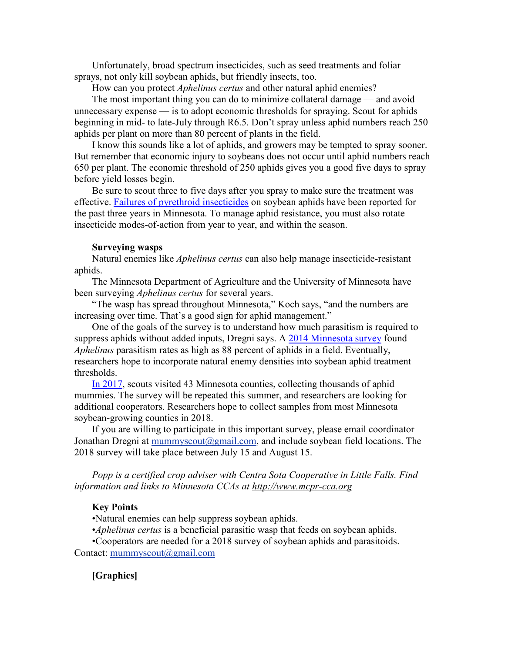Unfortunately, broad spectrum insecticides, such as seed treatments and foliar sprays, not only kill soybean aphids, but friendly insects, too.

How can you protect *Aphelinus certus* and other natural aphid enemies?

The most important thing you can do to minimize collateral damage — and avoid unnecessary expense — is to adopt economic thresholds for spraying. Scout for aphids beginning in mid- to late-July through R6.5. Don't spray unless aphid numbers reach 250 aphids per plant on more than 80 percent of plants in the field.

I know this sounds like a lot of aphids, and growers may be tempted to spray sooner. But remember that economic injury to soybeans does not occur until aphid numbers reach 650 per plant. The economic threshold of 250 aphids gives you a good five days to spray before yield losses begin.

Be sure to scout three to five days after you spray to make sure the treatment was effective. [Failures of pyrethroid insecticides](https://www.ag.ndsu.edu/publications/crops/management-of-insecticide-resistant-soybean-aphids) on soybean aphids have been reported for the past three years in Minnesota. To manage aphid resistance, you must also rotate insecticide modes-of-action from year to year, and within the season.

#### **Surveying wasps**

Natural enemies like *Aphelinus certus* can also help manage insecticide-resistant aphids.

The Minnesota Department of Agriculture and the University of Minnesota have been surveying *Aphelinus certus* for several years.

"The wasp has spread throughout Minnesota," Koch says, "and the numbers are increasing over time. That's a good sign for aphid management."

One of the goals of the survey is to understand how much parasitism is required to suppress aphids without added inputs, Dregni says. A [2014 Minnesota survey](http://blog-crop-news.extension.umn.edu/2015/07/parasitic-wasps-attacking-minnesota.html) found *Aphelinus* parasitism rates as high as 88 percent of aphids in a field. Eventually, researchers hope to incorporate natural enemy densities into soybean aphid treatment thresholds.

[In 2017,](http://blog-crop-news.extension.umn.edu/2018/03/aphid-destroying-wasps-found-throughout.html) scouts visited 43 Minnesota counties, collecting thousands of aphid mummies. The survey will be repeated this summer, and researchers are looking for additional cooperators. Researchers hope to collect samples from most Minnesota soybean-growing counties in 2018.

If you are willing to participate in this important survey, please email coordinator Jonathan Dregni at mummyscout $(Qgmail.com)$ , and include soybean field locations. The 2018 survey will take place between July 15 and August 15.

*Popp is a certified crop adviser with Centra Sota Cooperative in Little Falls. Find information and links to Minnesota CCAs at [http://www.mcpr-cca.org](http://www.mcpr-cca.org/)*

#### **Key Points**

•Natural enemies can help suppress soybean aphids.

•*Aphelinus certus* is a beneficial parasitic wasp that feeds on soybean aphids.

•Cooperators are needed for a 2018 survey of soybean aphids and parasitoids. Contact: [mummyscout@gmail.com](mailto:mummyscout@gmail.com)

# **[Graphics]**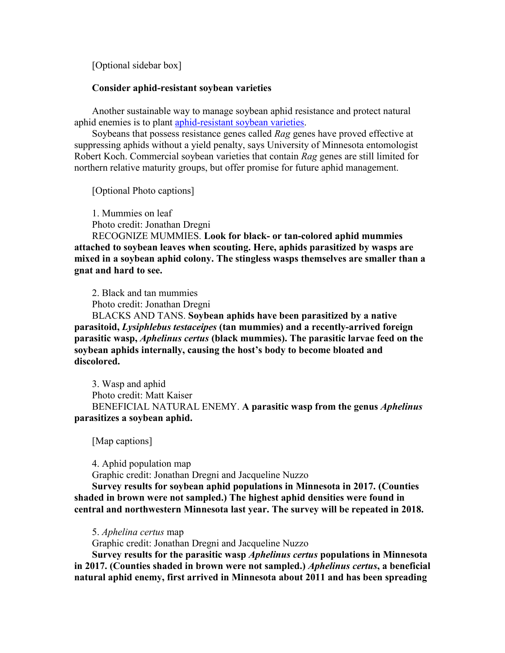[Optional sidebar box]

# **Consider aphid-resistant soybean varieties**

Another sustainable way to manage soybean aphid resistance and protect natural aphid enemies is to plant [aphid-resistant soybean varieties.](https://www.extension.umn.edu/agriculture/soybean/pest/soybean-aphid/aphid-resistant-soybean/)

Soybeans that possess resistance genes called *Rag* genes have proved effective at suppressing aphids without a yield penalty, says University of Minnesota entomologist Robert Koch. Commercial soybean varieties that contain *Rag* genes are still limited for northern relative maturity groups, but offer promise for future aphid management.

[Optional Photo captions]

1. Mummies on leaf

Photo credit: Jonathan Dregni

RECOGNIZE MUMMIES. **Look for black- or tan-colored aphid mummies attached to soybean leaves when scouting. Here, aphids parasitized by wasps are mixed in a soybean aphid colony. The stingless wasps themselves are smaller than a gnat and hard to see.**

2. Black and tan mummies

Photo credit: Jonathan Dregni

BLACKS AND TANS. **Soybean aphids have been parasitized by a native parasitoid,** *Lysiphlebus testaceipes* **(tan mummies) and a recently-arrived foreign parasitic wasp,** *Aphelinus certus* **(black mummies). The parasitic larvae feed on the soybean aphids internally, causing the host's body to become bloated and discolored.**

3. Wasp and aphid Photo credit: Matt Kaiser BENEFICIAL NATURAL ENEMY. **A parasitic wasp from the genus** *Aphelinus* **parasitizes a soybean aphid.**

[Map captions]

4. Aphid population map

Graphic credit: Jonathan Dregni and Jacqueline Nuzzo

**Survey results for soybean aphid populations in Minnesota in 2017. (Counties shaded in brown were not sampled.) The highest aphid densities were found in central and northwestern Minnesota last year. The survey will be repeated in 2018.**

5. *Aphelina certus* map

Graphic credit: Jonathan Dregni and Jacqueline Nuzzo

**Survey results for the parasitic wasp** *Aphelinus certus* **populations in Minnesota in 2017. (Counties shaded in brown were not sampled.)** *Aphelinus certus***, a beneficial natural aphid enemy, first arrived in Minnesota about 2011 and has been spreading**